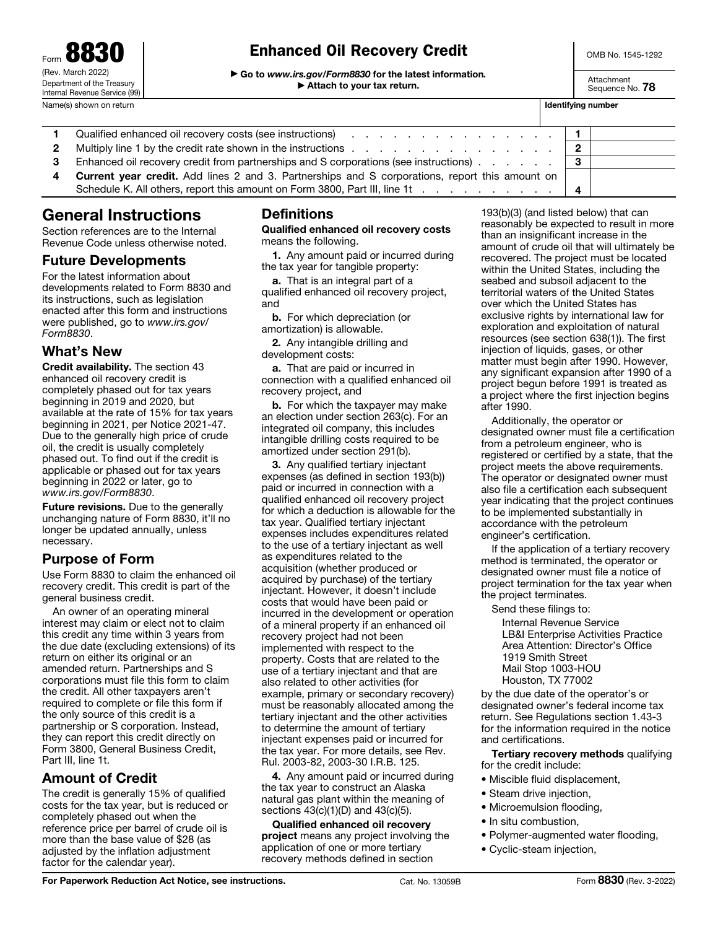Form 8830 (Rev. March 2022) Department of the Treasury Internal Revenue Service (99)

## Enhanced Oil Recovery Credit

▶ Go to *www.irs.gov/Form8830* for the latest information*.* ▶ Attach to your tax return.

OMB No. 1545-1292

Attachment Sequence No. **78** 

|   | Name(s) shown on return                                                                                                      | Identifying number |  |
|---|------------------------------------------------------------------------------------------------------------------------------|--------------------|--|
|   | Qualified enhanced oil recovery costs (see instructions) entering the contract of the contract of 1                          |                    |  |
| 2 | Multiply line 1 by the credit rate shown in the instructions enter the contract of the credit rate shown in the instructions |                    |  |
|   | Enhanced oil recovery credit from partnerships and S corporations (see instructions) 3                                       |                    |  |
| 4 | <b>Current year credit.</b> Add lines 2 and 3. Partnerships and S corporations, report this amount on                        |                    |  |
|   | Schedule K. All others, report this amount on Form 3800, Part III, line 1t                                                   |                    |  |

# General Instructions

Section references are to the Internal Revenue Code unless otherwise noted.

### Future Developments

For the latest information about developments related to Form 8830 and its instructions, such as legislation enacted after this form and instructions were published, go to *www.irs.gov/ Form8830*.

### What's New

Credit availability. The section 43 enhanced oil recovery credit is completely phased out for tax years beginning in 2019 and 2020, but available at the rate of 15% for tax years beginning in 2021, per Notice 2021-47. Due to the generally high price of crude oil, the credit is usually completely phased out. To find out if the credit is applicable or phased out for tax years beginning in 2022 or later, go to *www.irs.gov/Form8830*.

Future revisions. Due to the generally unchanging nature of Form 8830, it'll no longer be updated annually, unless necessary.

### Purpose of Form

Use Form 8830 to claim the enhanced oil recovery credit. This credit is part of the general business credit.

An owner of an operating mineral interest may claim or elect not to claim this credit any time within 3 years from the due date (excluding extensions) of its return on either its original or an amended return. Partnerships and S corporations must file this form to claim the credit. All other taxpayers aren't required to complete or file this form if the only source of this credit is a partnership or S corporation. Instead, they can report this credit directly on Form 3800, General Business Credit, Part III, line 1t.

## Amount of Credit

The credit is generally 15% of qualified costs for the tax year, but is reduced or completely phased out when the reference price per barrel of crude oil is more than the base value of \$28 (as adjusted by the inflation adjustment factor for the calendar year).

## **Definitions**

#### Qualified enhanced oil recovery costs means the following.

1. Any amount paid or incurred during the tax year for tangible property:

a. That is an integral part of a qualified enhanced oil recovery project, and

b. For which depreciation (or amortization) is allowable.

2. Any intangible drilling and development costs:

a. That are paid or incurred in connection with a qualified enhanced oil recovery project, and

**b.** For which the taxpayer may make an election under section 263(c). For an integrated oil company, this includes intangible drilling costs required to be amortized under section 291(b).

3. Any qualified tertiary injectant expenses (as defined in section 193(b)) paid or incurred in connection with a qualified enhanced oil recovery project for which a deduction is allowable for the tax year. Qualified tertiary injectant expenses includes expenditures related to the use of a tertiary injectant as well as expenditures related to the acquisition (whether produced or acquired by purchase) of the tertiary injectant. However, it doesn't include costs that would have been paid or incurred in the development or operation of a mineral property if an enhanced oil recovery project had not been implemented with respect to the property. Costs that are related to the use of a tertiary injectant and that are also related to other activities (for example, primary or secondary recovery) must be reasonably allocated among the tertiary injectant and the other activities to determine the amount of tertiary injectant expenses paid or incurred for the tax year. For more details, see Rev. Rul. 2003-82, 2003-30 I.R.B. 125.

4. Any amount paid or incurred during the tax year to construct an Alaska natural gas plant within the meaning of sections 43(c)(1)(D) and 43(c)(5).

Qualified enhanced oil recovery project means any project involving the application of one or more tertiary recovery methods defined in section

193(b)(3) (and listed below) that can reasonably be expected to result in more than an insignificant increase in the amount of crude oil that will ultimately be recovered. The project must be located within the United States, including the seabed and subsoil adjacent to the territorial waters of the United States over which the United States has exclusive rights by international law for exploration and exploitation of natural resources (see section 638(1)). The first injection of liquids, gases, or other matter must begin after 1990. However, any significant expansion after 1990 of a project begun before 1991 is treated as a project where the first injection begins after 1990.

Additionally, the operator or designated owner must file a certification from a petroleum engineer, who is registered or certified by a state, that the project meets the above requirements. The operator or designated owner must also file a certification each subsequent year indicating that the project continues to be implemented substantially in accordance with the petroleum engineer's certification.

If the application of a tertiary recovery method is terminated, the operator or designated owner must file a notice of project termination for the tax year when the project terminates.

Send these filings to:

Internal Revenue Service LB&I Enterprise Activities Practice Area Attention: Director's Office 1919 Smith Street Mail Stop 1003-HOU Houston, TX 77002

by the due date of the operator's or designated owner's federal income tax return. See Regulations section 1.43-3 for the information required in the notice and certifications.

Tertiary recovery methods qualifying for the credit include:

- Miscible fluid displacement,
- Steam drive injection,
- Microemulsion flooding.
- In situ combustion,
- Polymer-augmented water flooding,
- Cyclic-steam injection,